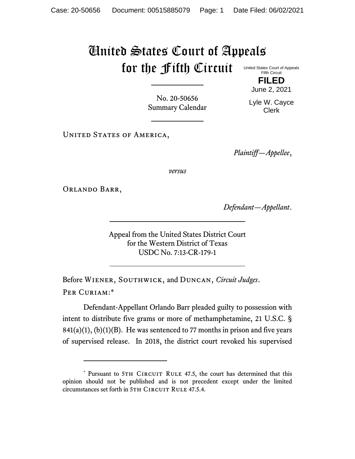## United States Court of Appeals for the Fifth Circuit United States Court of Appeals

Fifth Circuit **FILED**

June 2, 2021

No. 20-50656 Summary Calendar

Lyle W. Cayce Clerk

UNITED STATES OF AMERICA,

*Plaintiff—Appellee*,

*versus*

Orlando Barr,

*Defendant—Appellant*.

Appeal from the United States District Court for the Western District of Texas USDC No. 7:13-CR-179-1

Before Wiener, Southwick, and Duncan, *Circuit Judges*. Per Curiam:\*

Defendant-Appellant Orlando Barr pleaded guilty to possession with intent to distribute five grams or more of methamphetamine, 21 U.S.C. §  $841(a)(1)$ ,  $(b)(1)(B)$ . He was sentenced to 77 months in prison and five years of supervised release. In 2018, the district court revoked his supervised

<sup>\*</sup> Pursuant to 5TH CIRCUIT RULE 47.5, the court has determined that this opinion should not be published and is not precedent except under the limited circumstances set forth in 5TH CIRCUIT RULE 47.5.4.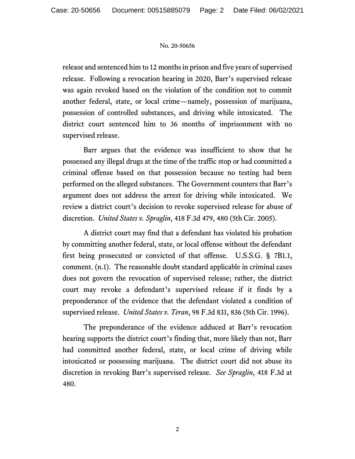## No. 20-50656

release and sentenced him to 12 months in prison and five years of supervised release. Following a revocation hearing in 2020, Barr's supervised release was again revoked based on the violation of the condition not to commit another federal, state, or local crime—namely, possession of marijuana, possession of controlled substances, and driving while intoxicated. The district court sentenced him to 36 months of imprisonment with no supervised release.

Barr argues that the evidence was insufficient to show that he possessed any illegal drugs at the time of the traffic stop or had committed a criminal offense based on that possession because no testing had been performed on the alleged substances. The Government counters that Barr's argument does not address the arrest for driving while intoxicated. We review a district court's decision to revoke supervised release for abuse of discretion. *United States v. Spraglin*, 418 F.3d 479, 480 (5th Cir. 2005).

A district court may find that a defendant has violated his probation by committing another federal, state, or local offense without the defendant first being prosecuted or convicted of that offense. U.S.S.G. § 7B1.1, comment. (n.1). The reasonable doubt standard applicable in criminal cases does not govern the revocation of supervised release; rather, the district court may revoke a defendant's supervised release if it finds by a preponderance of the evidence that the defendant violated a condition of supervised release. *United States v. Teran*, 98 F.3d 831, 836 (5th Cir. 1996).

The preponderance of the evidence adduced at Barr's revocation hearing supports the district court's finding that, more likely than not, Barr had committed another federal, state, or local crime of driving while intoxicated or possessing marijuana. The district court did not abuse its discretion in revoking Barr's supervised release. *See Spraglin*, 418 F.3d at 480.